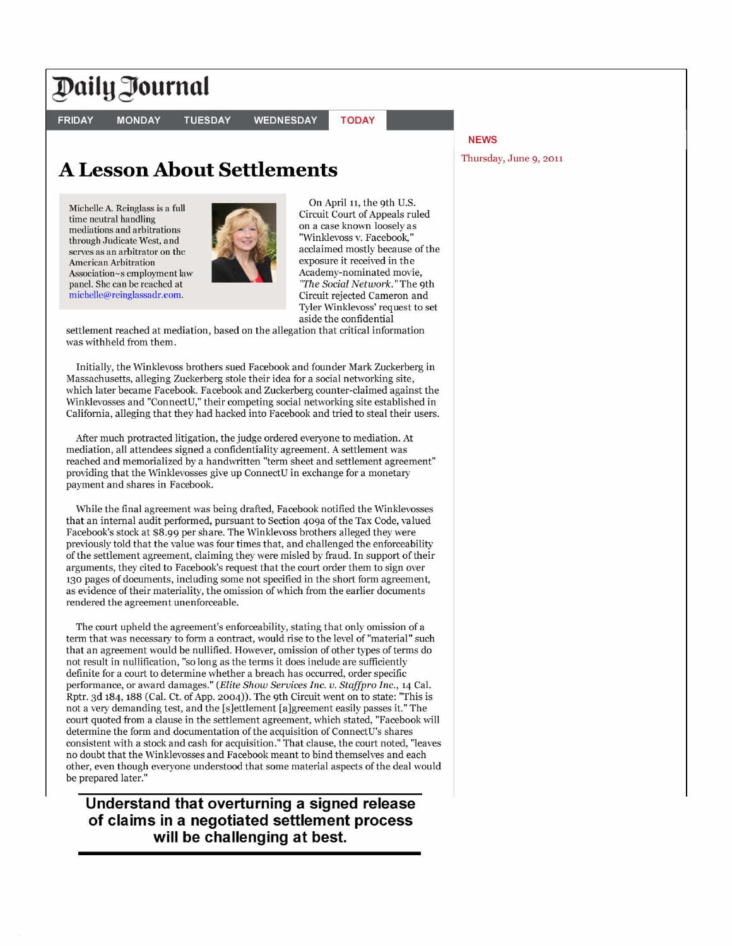## **PailOournat**

**FRIDAY** 

**MONDAY TUESDAY** 

**WEDNESDAY** 

**TODAY** 

## **A Lesson About Settlements**

Michelle A. Reinglass is a full time neutral handling mediations and arbitrations through Judicate West, and serves as an arbitrator on the American Arbitration Association-s employment law panel. She can be reached at michelle@reinglassadr.com .



On April 11, the 9th U.S. Circuit Court of Appeals ruled on a case known loosely as "Winklevoss v. Facebook," acclaimed mostly because of the exposure it received in the Academy-nominated movie, *'The Social Network."* The 9th Circuit rejected Cameron and Tyler Winklevoss' request to set aside the confidential

settlement reached at mediation, based on the allegation that critical information was withheld from them.

Initially, the Winklevoss brothers sued Facebook and founder Mark Zuckerberg in Massachusetts, alleging Zuckerberg stole their idea for a social networking site, which later became Facebook. Facebook and Zuckerberg counter-claimed against the Winklevosses and "ConnectU," their competing social networking site established in California, alleging that they had hacked into Facebook and tried to steal their users.

After much protracted litigation, the judge ordered everyone to mediation. At mediation, all attendees signed a confidentiality agreement. A settlement was reached and memorialized by a handwritten "term sheet and settlement agreement" providing that the Winklevosses give up ConnectU in exchange for a monetary payment and shares in Facebook.

While the final agreement was being drafted, Facebook notified the Winklevosses that an internal audit performed, pursuant to Section 409a of the Tax Code, valued Facebook's stock at \$8.99 per share. The Winklevoss brothers alleged they were previously told that the value was four times that, and challenged the enforceability of the settlement agreement, claiming they were misled by fraud. In support of their arguments, they cited to Facebook's request that the court order them to sign over 130 pages of documents, including some not specified in the short form agreement, as evidence of their materiality, the omission of which from the earlier documents rendered the agreement unenforceable.

The court upheld the agreement's enforceability, stating that only omission of a term that was necessary to form a contract, would rise to the level of "material" such that an agreement would be nullified. However, omission of other types of terms do not result in nullification, "so long as the terms it does include are sufficiently definite for a court to determine whether a breach has occurred, order specific performance, or award damages." *(Elite Show Services Inc. v. Staffpro Inc.,* 14 Cal. Rptr. 3d 184, 188 (Cal. Ct. of App. 2004)). The 9th Circuit went on to state: "This is not a very demanding test, and the [s]ettlement [a]greement easily passes it." The court quoted from a clause in the settlement agreement, which stated, "Facebook will determine the form and documentation of the acquisition of ConnectU's shares consistent with a stock and cash for acquisition." That clause, the court noted, "leaves no doubt that the Winklevosses and Facebook meant to bind themselves and each other, even though everyone understood that some material aspects of the deal would be prepared later."

**Understand that overturning a signed release of claims in a negotiated settlement process will be challenging at best.** 

## **NEWS**

Thursday, June 9, 2011